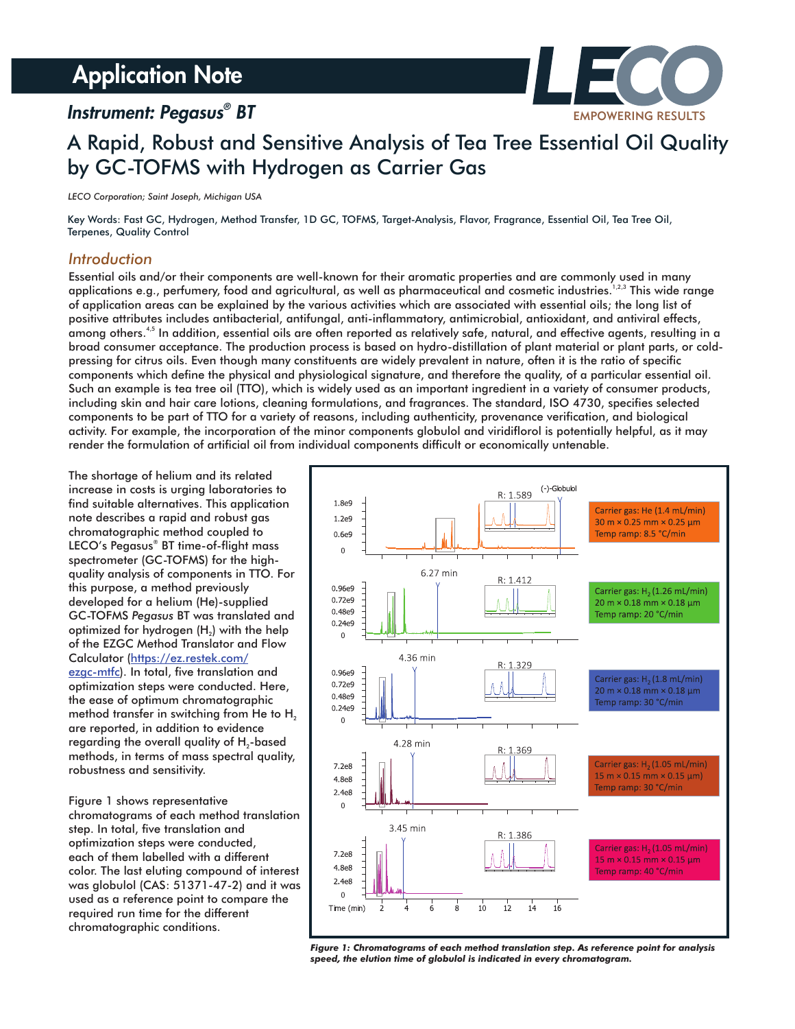# **Application Note**

### *Instrument: Pegasus*<sup>®</sup> BT



## A Rapid, Robust and Sensitive Analysis of Tea Tree Essential Oil Quality by GC-TOFMS with Hydrogen as Carrier Gas

*LECO Corporation; Saint Joseph, Michigan USA*

Key Words: Fast GC, Hydrogen, Method Transfer, 1D GC, TOFMS, Target-Analysis, Flavor, Fragrance, Essential Oil, Tea Tree Oil, Terpenes, Quality Control

#### *Introduction*

Essential oils and/or their components are well-known for their aromatic properties and are commonly used in many applications e.g., perfumery, food and agricultural, as well as pharmaceutical and cosmetic industries. $^{1,2,3}$  This wide range of application areas can be explained by the various activities which are associated with essential oils; the long list of positive attributes includes antibacterial, antifungal, anti-inflammatory, antimicrobial, antioxidant, and antiviral effects, among others.<sup>4,5</sup> In addition, essential oils are often reported as relatively safe, natural, and effective agents, resulting in a broad consumer acceptance. The production process is based on hydro-distillation of plant material or plant parts, or coldpressing for citrus oils. Even though many constituents are widely prevalent in nature, often it is the ratio of specific components which define the physical and physiological signature, and therefore the quality, of a particular essential oil. Such an example is tea tree oil (TTO), which is widely used as an important ingredient in a variety of consumer products, including skin and hair care lotions, cleaning formulations, and fragrances. The standard, ISO 4730, specifies selected components to be part of TTO for a variety of reasons, including authenticity, provenance verification, and biological activity. For example, the incorporation of the minor components globulol and viridiflorol is potentially helpful, as it may render the formulation of artificial oil from individual components difficult or economically untenable.

The shortage of helium and its related increase in costs is urging laboratories to find suitable alternatives. This application note describes a rapid and robust gas chromatographic method coupled to LECO's Pegasus<sup>®</sup> BT time-of-flight mass spectrometer (GC-TOFMS) for the highquality analysis of components in TTO. For this purpose, a method previously developed for a helium (He)-supplied GC-TOFMS Pegasus BT was translated and optimized for hydrogen  $(H<sub>2</sub>)$  with the help of the EZGC Method Translator and Flow Calculator (https://ez.restek.com/ ezgc-mtfc). In total, five translation and optimization steps were conducted. Here, the ease of optimum chromatographic method transfer in switching from He to H<sub>2</sub> are reported, in addition to evidence regarding the overall quality of  $H_2$ -based methods, in terms of mass spectral quality, robustness and sensitivity.

Figure 1 shows representative chromatograms of each method translation step. In total, five translation and optimization steps were conducted, each of them labelled with a different color. The last eluting compound of interest was globulol (CAS: 51371-47-2) and it was used as a reference point to compare the required run time for the different chromatographic conditions.



*Figure 1: Chromatograms of each method translation step. As reference point for analysis speed, the elution time of globulol is indicated in every chromatogram.*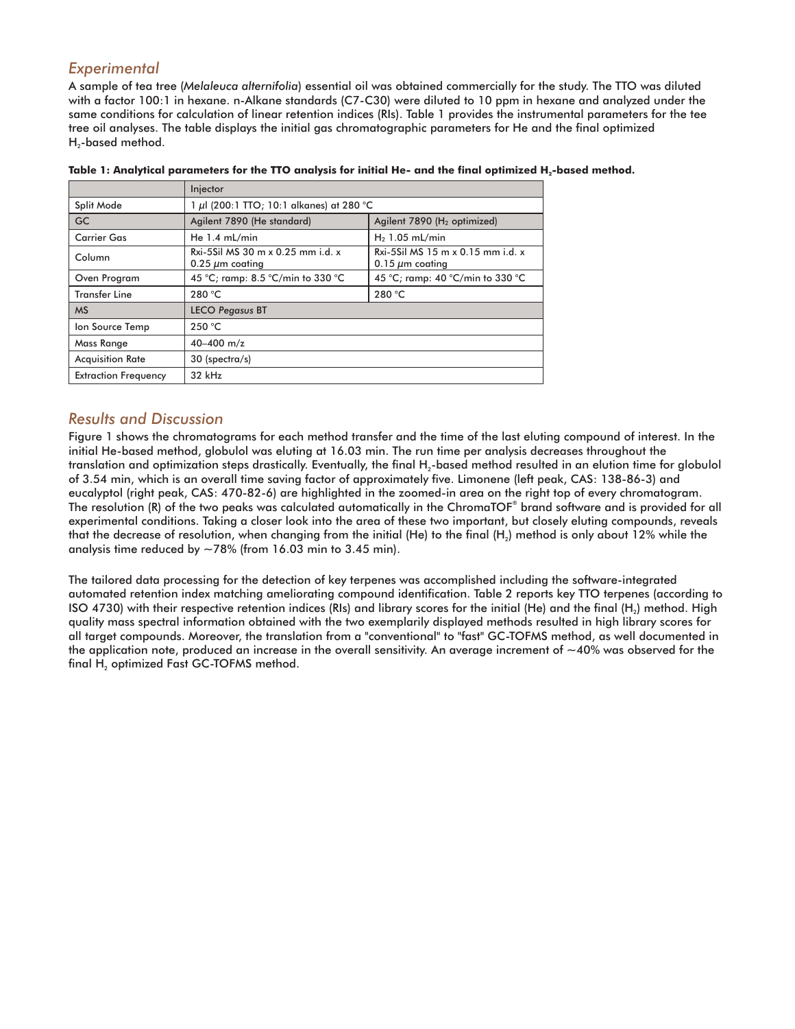#### *Experimental*

A sample of tea tree (Melaleuca alternifolia) essential oil was obtained commercially for the study. The TTO was diluted with a factor 100:1 in hexane. n-Alkane standards (C7-C30) were diluted to 10 ppm in hexane and analyzed under the same conditions for calculation of linear retention indices (RIs). Table 1 provides the instrumental parameters for the tee tree oil analyses. The table displays the initial gas chromatographic parameters for He and the final optimized  $H_2$ -based method.

|                             | Injector                                                  |                                                                                  |  |  |  |  |
|-----------------------------|-----------------------------------------------------------|----------------------------------------------------------------------------------|--|--|--|--|
| Split Mode                  | 1 µl (200:1 TTO; 10:1 alkanes) at 280 °C                  |                                                                                  |  |  |  |  |
| <b>GC</b>                   | Agilent 7890 (He standard)                                | Agilent 7890 (H <sub>2</sub> optimized)                                          |  |  |  |  |
| <b>Carrier Gas</b>          | He $1.4$ mL/min                                           | $H2$ 1.05 mL/min                                                                 |  |  |  |  |
| Column                      | Rxi-5Sil MS 30 m x 0.25 mm i.d. x<br>$0.25 \mu m$ coating | Rxi-5Sil MS $15 \text{ m} \times 0.15 \text{ mm}$ i.d. x<br>$0.15 \mu m$ coating |  |  |  |  |
| Oven Program                | 45 °C; ramp: 8.5 °C/min to 330 °C                         | 45 °C; ramp: 40 °C/min to 330 °C                                                 |  |  |  |  |
| Transfer Line               | 280 °C                                                    | 280 °C                                                                           |  |  |  |  |
| <b>MS</b>                   | <b>LECO Pegasus BT</b>                                    |                                                                                  |  |  |  |  |
| Ion Source Temp             | 250 °C                                                    |                                                                                  |  |  |  |  |
| Mass Range                  | 40-400 $m/z$                                              |                                                                                  |  |  |  |  |
| <b>Acquisition Rate</b>     | 30 (spectra/s)                                            |                                                                                  |  |  |  |  |
| <b>Extraction Frequency</b> | 32 kHz                                                    |                                                                                  |  |  |  |  |

Table 1: Analytical parameters for the TTO analysis for initial He- and the final optimized H<sub>2</sub>-based method.

#### *Results and Discussion*

Figure 1 shows the chromatograms for each method transfer and the time of the last eluting compound of interest. In the initial He-based method, globulol was eluting at 16.03 min. The run time per analysis decreases throughout the translation and optimization steps drastically. Eventually, the final  $H_2$ -based method resulted in an elution time for globulol of 3.54 min, which is an overall time saving factor of approximately five. Limonene (left peak, CAS: 138-86-3) and eucalyptol (right peak, CAS: 470-82-6) are highlighted in the zoomed-in area on the right top of every chromatogram. The resolution (R) of the two peaks was calculated automatically in the ChromaTOF® brand software and is provided for all experimental conditions. Taking a closer look into the area of these two important, but closely eluting compounds, reveals that the decrease of resolution, when changing from the initial (He) to the final (H<sub>2</sub>) method is only about 12% while the analysis time reduced by  $\sim$  78% (from 16.03 min to 3.45 min).

The tailored data processing for the detection of key terpenes was accomplished including the software-integrated automated retention index matching ameliorating compound identification. Table 2 reports key TTO terpenes (according to ISO 4730) with their respective retention indices (RIs) and library scores for the initial (He) and the final (H<sub>2</sub>) method. High quality mass spectral information obtained with the two exemplarily displayed methods resulted in high library scores for all target compounds. Moreover, the translation from a "conventional" to "fast" GC-TOFMS method, as well documented in the application note, produced an increase in the overall sensitivity. An average increment of  $\sim$ 40% was observed for the final  $H<sub>2</sub>$  optimized Fast GC-TOFMS method.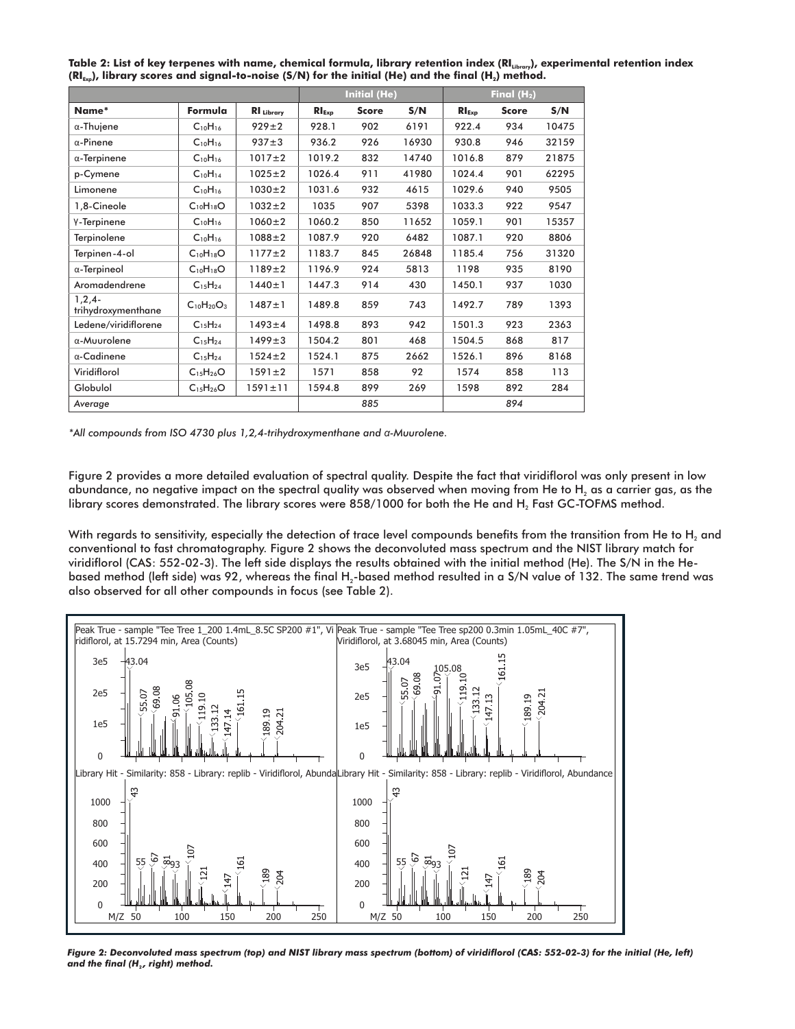| Table 2: List of key terpenes with name, chemical formula, library retention index (RI <sub>Libran</sub> ), experimental retention index |  |
|------------------------------------------------------------------------------------------------------------------------------------------|--|
| $(RI_{\text{Evo}})$ , library scores and signal-to-noise (S/N) for the initial (He) and the final (H <sub>2</sub> ) method.              |  |

|                                   |                   |                   | <b>Initial (He)</b> |              |       | Final $(H2)$ |              |       |
|-----------------------------------|-------------------|-------------------|---------------------|--------------|-------|--------------|--------------|-------|
| Name*                             | Formula           | <b>RI</b> Library | $RI_{Exp}$          | <b>Score</b> | S/N   | $RI_{Exp}$   | <b>Score</b> | S/N   |
| α-Thujene                         | $C_{10}H_{16}$    | $929 \pm 2$       | 928.1               | 902          | 6191  | 922.4        | 934          | 10475 |
| $\alpha$ -Pinene                  | $C_{10}H_{16}$    | $937 + 3$         | 936.2               | 926          | 16930 | 930.8        | 946          | 32159 |
| $\alpha$ -Terpinene               | $C_{10}H_{16}$    | $1017 \pm 2$      | 1019.2              | 832          | 14740 | 1016.8       | 879          | 21875 |
| p-Cymene                          | $C_{10}H_{14}$    | $1025 \pm 2$      | 1026.4              | 911          | 41980 | 1024.4       | 901          | 62295 |
| Limonene                          | $C_{10}H_{16}$    | $1030 \pm 2$      | 1031.6              | 932          | 4615  | 1029.6       | 940          | 9505  |
| 1,8-Cineole                       | $C_{10}H_{18}O$   | $1032 \pm 2$      | 1035                | 907          | 5398  | 1033.3       | 922          | 9547  |
| Y-Terpinene                       | $C_{10}H_{16}$    | $1060 \pm 2$      | 1060.2              | 850          | 11652 | 1059.1       | 901          | 15357 |
| Terpinolene                       | $C_{10}H_{16}$    | $1088 + 2$        | 1087.9              | 920          | 6482  | 1087.1       | 920          | 8806  |
| Terpinen-4-ol                     | $C_{10}H_{18}O$   | $1177 \pm 2$      | 1183.7              | 845          | 26848 | 1185.4       | 756          | 31320 |
| $\alpha$ -Terpineol               | $C_{10}H_{18}O$   | $1189 \pm 2$      | 1196.9              | 924          | 5813  | 1198         | 935          | 8190  |
| Aromadendrene                     | $C_{15}H_{24}$    | $1440 \pm 1$      | 1447.3              | 914          | 430   | 1450.1       | 937          | 1030  |
| $1, 2, 4 -$<br>trihydroxymenthane | $C_{10}H_{20}O_3$ | $1487 \pm 1$      | 1489.8              | 859          | 743   | 1492.7       | 789          | 1393  |
| Ledene/viridiflorene              | $C_{15}H_{24}$    | $1493 \pm 4$      | 1498.8              | 893          | 942   | 1501.3       | 923          | 2363  |
| α-Muurolene                       | $C_{15}H_{24}$    | $1499 \pm 3$      | 1504.2              | 801          | 468   | 1504.5       | 868          | 817   |
| α-Cadinene                        | $C_{15}H_{24}$    | $1524 \pm 2$      | 1524.1              | 875          | 2662  | 1526.1       | 896          | 8168  |
| Viridiflorol                      | $C_{15}H_{26}O$   | $1591 \pm 2$      | 1571                | 858          | 92    | 1574         | 858          | 113   |
| Globulol                          | $C_{15}H_{26}O$   | $1591 \pm 11$     | 1594.8              | 899          | 269   | 1598         | 892          | 284   |
| Average                           |                   |                   |                     | 885          |       |              | 894          |       |

*\*All compounds from ISO 4730 plus 1,2,4-trihydroxymenthane and*  $α$ *-Muurolene.* 

Figure 2 provides a more detailed evaluation of spectral quality. Despite the fact that viridiflorol was only present in low abundance, no negative impact on the spectral quality was observed when moving from He to H<sub>2</sub> as a carrier gas, as the library scores demonstrated. The library scores were 858/1000 for both the He and H<sub>2</sub> Fast GC-TOFMS method.

With regards to sensitivity, especially the detection of trace level compounds benefits from the transition from He to H<sub>2</sub> and conventional to fast chromatography. Figure 2 shows the deconvoluted mass spectrum and the NIST library match for viridiflorol (CAS: 552-02-3). The left side displays the results obtained with the initial method (He). The S/N in the Hebased method (left side) was 92, whereas the final H<sub>2</sub>-based method resulted in a S/N value of 132. The same trend was also observed for all other compounds in focus (see Table 2).



*Figure 2: Deconvoluted mass spectrum (top) and NIST library mass spectrum (bottom) of viridiflorol (CAS: 552-02-3) for the initial (He, left) and the final (H<sub>2</sub>, right) method.*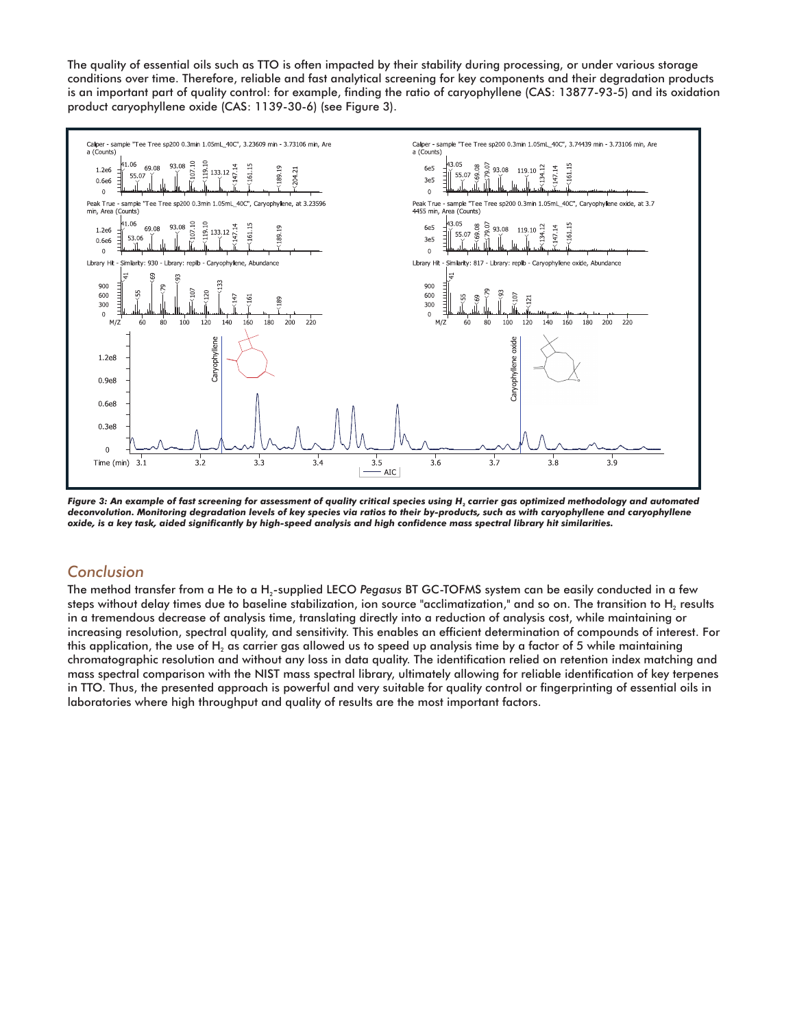The quality of essential oils such as TTO is often impacted by their stability during processing, or under various storage conditions over time. Therefore, reliable and fast analytical screening for key components and their degradation products is an important part of quality control: for example, finding the ratio of caryophyllene (CAS: 13877-93-5) and its oxidation product caryophyllene oxide (CAS: 1139-30-6) (see Figure 3).



Figure 3: An example of fast screening for assessment of quality critical species using H<sub>2</sub> carrier gas optimized methodology and automated *deconvolution. Monitoring degradation levels of key species via ratios to their by-products, such as with caryophyllene and caryophyllene oxide, is a key task, aided significantly by high-speed analysis and high confidence mass spectral library hit similarities.*

#### *Conclusion*

The method transfer from a He to a H<sub>2</sub>-supplied LECO Pegasus BT GC-TOFMS system can be easily conducted in a few steps without delay times due to baseline stabilization, ion source "acclimatization," and so on. The transition to H, results in a tremendous decrease of analysis time, translating directly into a reduction of analysis cost, while maintaining or increasing resolution, spectral quality, and sensitivity. This enables an efficient determination of compounds of interest. For this application, the use of H<sub>2</sub> as carrier gas allowed us to speed up analysis time by a factor of 5 while maintaining chromatographic resolution and without any loss in data quality. The identification relied on retention index matching and mass spectral comparison with the NIST mass spectral library, ultimately allowing for reliable identification of key terpenes in TTO. Thus, the presented approach is powerful and very suitable for quality control or fingerprinting of essential oils in laboratories where high throughput and quality of results are the most important factors.